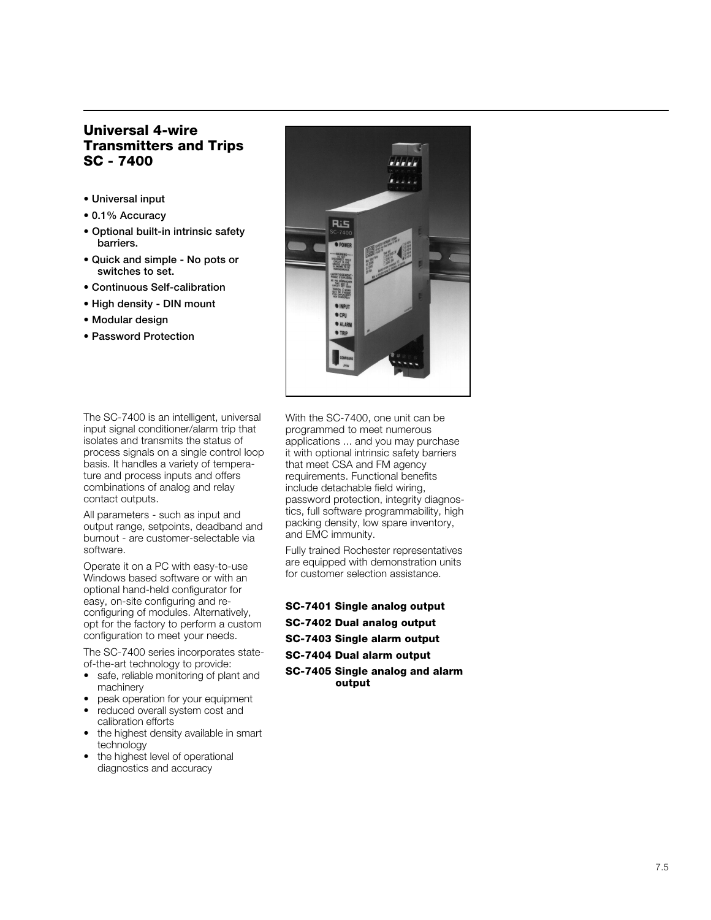# **Universal 4-wire Transmitters and Trips SC - 7400**

- **Universal input**
- **0.1% Accuracy**
- **Optional built-in intrinsic safety barriers.**
- **Quick and simple No pots or switches to set.**
- **Continuous Self-calibration**
- **High density DIN mount**
- **Modular design**
- **Password Protection**



The SC-7400 is an intelligent, universal input signal conditioner/alarm trip that isolates and transmits the status of process signals on a single control loop basis. It handles a variety of temperature and process inputs and offers combinations of analog and relay contact outputs.

All parameters - such as input and output range, setpoints, deadband and burnout - are customer-selectable via software.

Operate it on a PC with easy-to-use Windows based software or with an optional hand-held configurator for easy, on-site configuring and reconfiguring of modules. Alternatively, opt for the factory to perform a custom configuration to meet your needs.

The SC-7400 series incorporates stateof-the-art technology to provide:

- safe, reliable monitoring of plant and machinery
- peak operation for your equipment
- reduced overall system cost and calibration efforts
- the highest density available in smart technology
- the highest level of operational diagnostics and accuracy

With the SC-7400, one unit can be programmed to meet numerous applications ... and you may purchase it with optional intrinsic safety barriers that meet CSA and FM agency requirements. Functional benefits include detachable field wiring, password protection, integrity diagnostics, full software programmability, high packing density, low spare inventory, and EMC immunity.

Fully trained Rochester representatives are equipped with demonstration units for customer selection assistance.

**SC-7401 Single analog output SC-7402 Dual analog output SC-7403 Single alarm output SC-7404 Dual alarm output SC-7405 Single analog and alarm output**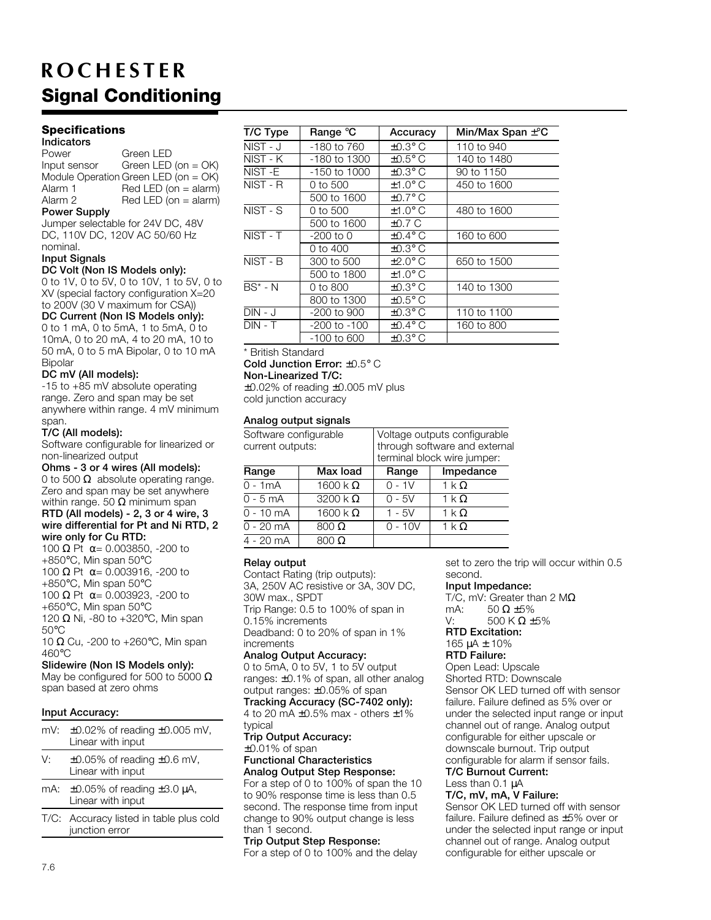# **Signal Conditioning ROCHESTER**

## **Specifications**

**Indicators** Power Green LED<br>
Input sensor Green LED Green LED (on  $=$  OK) Module Operation Green LED (on = OK) Alarm 1 Red LED (on = alarm)<br>Alarm 2 Red LED (on = alarm)  $Red$  LED (on  $=$  alarm)

## **Power Supply**

Jumper selectable for 24V DC, 48V DC, 110V DC, 120V AC 50/60 Hz nominal.

#### **Input Signals**

#### **DC Volt (Non IS Models only):**

0 to 1V, 0 to 5V, 0 to 10V, 1 to 5V, 0 to XV (special factory configuration X=20 to 200V (30 V maximum for CSA))

**DC Current (Non IS Models only):** 0 to 1 mA, 0 to 5mA, 1 to 5mA, 0 to 10mA, 0 to 20 mA, 4 to 20 mA, 10 to 50 mA, 0 to 5 mA Bipolar, 0 to 10 mA Bipolar

#### **DC mV (All models):**

-15 to +85 mV absolute operating range. Zero and span may be set anywhere within range. 4 mV minimum span.

#### **T/C (All models):**

Software configurable for linearized or non-linearized output

**Ohms - 3 or 4 wires (All models):** 0 to 500  $\Omega$  absolute operating range.

Zero and span may be set anywhere within range. 50  $\Omega$  minimum span **RTD (All models) - 2, 3 or 4 wire, 3**

# **wire differential for Pt and Ni RTD, 2 wire only for Cu RTD:**

100 Ω Pt  $\alpha$  = 0.003850, -200 to +850°C, Min span 50°C 100 Ω Pt  $\alpha$  = 0.003916, -200 to +850°C, Min span 50°C 100 Ω Pt  $\alpha$  = 0.003923, -200 to +650°C, Min span 50°C 120  $\Omega$  Ni, -80 to +320°C, Min span 50°C

10  $\Omega$  Cu, -200 to +260°C, Min span 460°C

**Slidewire (Non IS Models only):** May be configured for 500 to 5000  $\Omega$ span based at zero ohms

#### **Input Accuracy:**

|            | mV: $\pm 0.02\%$ of reading $\pm 0.005$ mV,<br>Linear with input |
|------------|------------------------------------------------------------------|
| $\sqrt{ }$ |                                                                  |

- V:  $\pm 0.05\%$  of reading  $\pm 0.6$  mV, Linear with input
- mA:  $\pm 0.05\%$  of reading  $\pm 3.0 \mu$ A, Linear with input
- T/C: Accuracy listed in table plus cold junction error

| T/C Type     | Range °C     | Accuracy            | Min/Max Span $\pm$ °C |
|--------------|--------------|---------------------|-----------------------|
| $NIST - J$   | -180 to 760  | $\pm 0.3^\circ$ C   | 110 to 940            |
| NIST - K     | -180 to 1300 | $\pm 0.5^{\circ}$ C | 140 to 1480           |
| NIST-E       | -150 to 1000 | $\pm 0.3^\circ$ C   | 90 to 1150            |
| NIST - R     | 0 to 500     | $±1.0^{\circ}$ C    | 450 to 1600           |
|              | 500 to 1600  | $\pm 0.7^\circ$ C   |                       |
| NIST - S     | 0 to 500     | $±1.0^{\circ}$ C    | 480 to 1600           |
|              | 500 to 1600  | ±0.7 C              |                       |
| NIST - T     | -200 to 0    | $+0.4^\circ C$      | 160 to 600            |
|              | 0 to 400     | $\pm 0.3^\circ$ C   |                       |
| NIST - B     | 300 to 500   | $\pm 2.0^\circ$ C   | 650 to 1500           |
|              | 500 to 1800  | $±1.0^{\circ}$ C    |                       |
| $BS^*$ - $N$ | 0 to 800     | $\pm 0.3^\circ$ C   | 140 to 1300           |
|              | 800 to 1300  | $\pm 0.5^{\circ}$ C |                       |
| $DIN - J$    | -200 to 900  | $\pm 0.3^\circ$ C   | 110 to 1100           |
| $DIN - T$    | -200 to -100 | $\pm 0.4^{\circ}$ C | 160 to 800            |
|              | -100 to 600  | $\pm 0.3^\circ$ C   |                       |

#### \* British Standard

**Cold Junction Error:** ±0.5° C

**Non-Linearized T/C:**

±0.02% of reading ±0.005 mV plus cold junction accuracy

#### **Analog output signals**

| Software configurable<br>current outputs: |                         | Voltage outputs configurable<br>through software and external<br>terminal block wire jumper: |                       |  |
|-------------------------------------------|-------------------------|----------------------------------------------------------------------------------------------|-----------------------|--|
| Range                                     | Max load                | Range                                                                                        | Impedance             |  |
| $0 - 1mA$                                 | 1600 k $\Omega$         | $0 - 1V$                                                                                     | $1 \text{ k } \Omega$ |  |
| $0 - 5$ mA                                | $3200 \text{ k }\Omega$ | $0 - 5V$                                                                                     | $1 \text{ k } \Omega$ |  |
| $0 - 10$ mA                               | 1600 k $\Omega$         | $1 - 5V$                                                                                     | $1 \text{ k } \Omega$ |  |
| $0 - 20$ mA                               | $800 \Omega$            | $0 - 10V$                                                                                    | $1 \text{ k } \Omega$ |  |
| $4 - 20$ mA                               | $800 \Omega$            |                                                                                              |                       |  |

## **Relay output**

Contact Rating (trip outputs): 3A, 250V AC resistive or 3A, 30V DC, 30W max., SPDT Trip Range: 0.5 to 100% of span in 0.15% increments Deadband: 0 to 20% of span in 1% increments **Analog Output Accuracy:**

0 to 5mA, 0 to 5V, 1 to 5V output ranges: ±0.1% of span, all other analog output ranges: ±0.05% of span **Tracking Accuracy (SC-7402 only):** 4 to 20 mA ±0.5% max - others ±1%

typical **Trip Output Accuracy:**

±0.01% of span

## **Functional Characteristics Analog Output Step Response:**

For a step of 0 to 100% of span the 10 to 90% response time is less than 0.5 second. The response time from input change to 90% output change is less than 1 second.

# **Trip Output Step Response:**

For a step of 0 to 100% and the delay

set to zero the trip will occur within 0.5 second.

## **Input Impedance:**

T/C, mV: Greater than 2 M $\Omega$ mA:  $50 \Omega \pm 5\%$ <br>V:  $500 \text{ K}$  Ω + 500 K Ω ±5%

**RTD Excitation:**

#### 165 µA ± 10% **RTD Failure:**

Open Lead: Upscale

Shorted RTD: Downscale Sensor OK LED turned off with sensor failure. Failure defined as 5% over or under the selected input range or input channel out of range. Analog output configurable for either upscale or downscale burnout. Trip output configurable for alarm if sensor fails.

#### **T/C Burnout Current:** Less than 0.1 µA

# **T/C, mV, mA, V Failure:**

Sensor OK LED turned off with sensor failure. Failure defined as ±5% over or under the selected input range or input channel out of range. Analog output configurable for either upscale or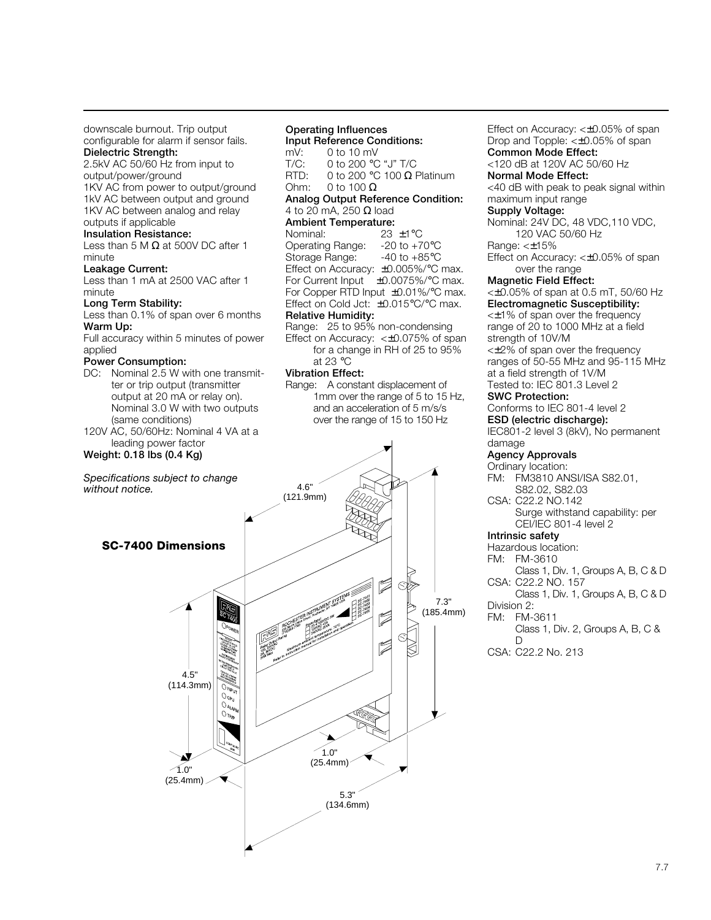downscale burnout. Trip output configurable for alarm if sensor fails. **Dielectric Strength:**

2.5kV AC 50/60 Hz from input to output/power/ground 1KV AC from power to output/ground 1kV AC between output and ground 1KV AC between analog and relay

outputs if applicable **Insulation Resistance:**

Less than 5 M  $\Omega$  at 500V DC after 1 minute

**Leakage Current:**

Less than 1 mA at 2500 VAC after 1 minute

#### **Long Term Stability:**

Less than 0.1% of span over 6 months

**Warm Up:**

Full accuracy within 5 minutes of power applied

#### **Power Consumption:**

- DC: Nominal 2.5 W with one transmitter or trip output (transmitter output at 20 mA or relay on). Nominal 3.0 W with two outputs (same conditions)
- 120V AC, 50/60Hz: Nominal 4 VA at a leading power factor

## **Weight: 0.18 lbs (0.4 Kg)**

*Specifications subject to change without notice.*

# **Operating Influences**

# **Input Reference Conditions:**<br>mV: 0 to 10 mV mV: 0 to 10 mV<br>T/C: 0 to 200 °C

 $T/C: 0$  to 200 °C "J"  $T/C$ <br>RTD: 0 to 200 °C 100  $\Omega$  F  $0$  to 200 °C 100 Ω Platinum Ohm:  $0$  to 100  $\Omega$ 

### **Analog Output Reference Condition:** 4 to 20 mA, 250  $\Omega$  load

**Ambient Temperature:**

Nominal: 23 ±1°C<br>Operating Range: -20 to +70°C Operating Range: -20 to +70°C<br>Storage Range: -40 to +85°C Storage Range: Effect on Accuracy: ±0.005%/°C max. For Current Input ±0.0075%/°C max. For Copper RTD Input ±0.01%/°C max. Effect on Cold Jct:  $\pm 0.015^{\circ}$ C/ $^{\circ}$ C max. **Relative Humidity:**

#### Range: 25 to 95% non-condensing Effect on Accuracy: <±0.075% of span

for a change in RH of 25 to 95% at 23 °C

#### **Vibration Effect:**

Range: A constant displacement of 1mm over the range of 5 to 15 Hz, and an acceleration of 5 m/s/s over the range of 15 to 150 Hz



Effect on Accuracy: <±0.05% of span Drop and Topple: <±0.05% of span **Common Mode Effect:** <120 dB at 120V AC 50/60 Hz **Normal Mode Effect:** <40 dB with peak to peak signal within maximum input range **Supply Voltage:** Nominal: 24V DC, 48 VDC,110 VDC, 120 VAC 50/60 Hz Range: <±15% Effect on Accuracy: <±0.05% of span over the range **Magnetic Field Effect:** <±0.05% of span at 0.5 mT, 50/60 Hz **Electromagnetic Susceptibility:** <±1% of span over the frequency range of 20 to 1000 MHz at a field strength of 10V/M <±2% of span over the frequency ranges of 50-55 MHz and 95-115 MHz at a field strength of 1V/M Tested to: IEC 801.3 Level 2 **SWC Protection:** Conforms to IEC 801-4 level 2 **ESD (electric discharge):** IEC801-2 level 3 (8kV), No permanent damage **Agency Approvals** Ordinary location: FM: FM3810 ANSI/ISA S82.01, S82.02, S82.03 CSA: C22.2 NO.142 Surge withstand capability: per CEI/IEC 801-4 level 2 **Intrinsic safety** Hazardous location: FM: FM-3610 Class 1, Div. 1, Groups A, B, C & D CSA: C22.2 NO. 157 Class 1, Div. 1, Groups A, B, C & D Division 2: FM: FM-3611

Class 1, Div. 2, Groups A, B, C &  $\Box$ 

CSA: C22.2 No. 213